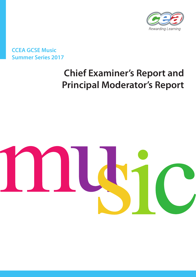

# **CCEA GCSE Music Summer Series 2017**

# **Chief Examiner's Report and Principal Moderator's Report**

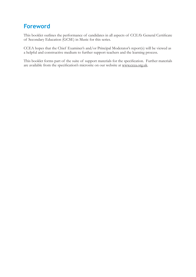# **Foreword**

This booklet outlines the performance of candidates in all aspects of CCEA's General Certificate of Secondary Education (GCSE) in Music for this series.

CCEA hopes that the Chief Examiner's and/or Principal Moderator's report(s) will be viewed as a helpful and constructive medium to further support teachers and the learning process.

This booklet forms part of the suite of support materials for the specification. Further materials are available from the specification's microsite on our website at www.ccea.org.uk.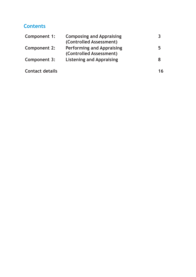# **Contents**

| Component 1:           | <b>Composing and Appraising</b><br>(Controlled Assessment)  |    |
|------------------------|-------------------------------------------------------------|----|
| <b>Component 2:</b>    | <b>Performing and Appraising</b><br>(Controlled Assessment) |    |
| Component 3:           | <b>Listening and Appraising</b>                             |    |
| <b>Contact details</b> |                                                             | 16 |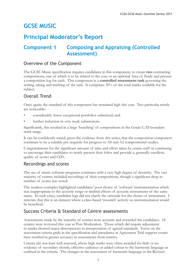# **GCSE MUSIC**

# **Principal Moderator's Report**

# **Component 1 Composing and Appraising (Controlled Assessment)**

# Overview of the Component

The GCSE Music specification requires candidates in this component, to create **two** contrasting compositions, one of which is to be related to the core or an optional Area of Study and present a composition log for each. This component is a **controlled assessment task** governing the setting, taking and marking of the task. It comprises 30% of the total marks available for the subject.

# Overall Trend

Once again, the standard of this component has remained high this year. Two particular trends are noticeable:

- considerably fewer exceptional portfolios submitted; and
- further reduction in very weak submissions.

Significantly, this resulted in a large 'bunching' of compositions in the Grade C/D boundary mark range.

It can be confidently stated, given the evidence from this series, that the composition component continues to be a suitable pre-requisite for progress to AS and A2 compositional studies.

Congratulations for the significant amount of time and effort taken by centre staff in continuing to encourage their candidates to neatly present their folios and provide a, generally excellent, quality of scores and CD's.

# Recordings and scores

The use of music software programs continues with a very high degree of dexterity. The vast majority of centres included recordings of their compositions, though a significant drop in number of scores was noted.

The weakest examples highlighted candidates' poor choice of 'software' instrumentation which was inappropriate to the acoustic range or timbral effects of acoustic instruments of the same name. In such cases, candidate logs did not clarify the rationale for the choice of instrument. I reiterate that this is an element where a class-based 'research' activity on instrumentation would be beneficial.

# Success Criteria & Standard of Centre assessments

Assessments made by the majority of centres were accurate and rewarded the candidates. 18 centres were reviewed this year at Post Moderation. Those which did require adjustment to marks showed major discrepancies in interpretation of agreed standards. Focus on the assessment criteria grids in the specification and attendance at Agreement Trial support events have resulted in greater accuracy in assessments from centres.

Criteria (iii) was least well assessed, where high marks were often awarded for little or no evidence of secondary chords, effective cadences or added colour to the harmonic language as outlined in the criteria. The changes in the assessment of harmonic language in the Revised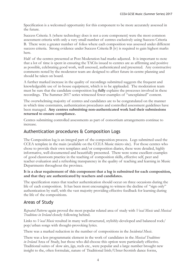Specification is a welcomed opportunity for this component to be more accurately assessed in the future.

Success Criteria A (where technology does is not a core component) were the most common assessment criteria with only a very small number of centres exclusively using Success Criteria B. There were a greater number of folios where each composition was assessed under different success criteria. Strong evidence under Success Criteria B (iv) is required to gain highest marks here.

Half of the centres presented at Post Moderation had marks adjusted. It is important to note that a lot of time is spent in ensuring the TAC6s issued to centres are as affirming and positive as possible, celebrating good work, well assessed, authenticated and presented. Any constructive comments noted by the moderator team are designed to affect future in-centre planning and should be taken on board.

A further marked increase in the quality of recordings submitted suggests the frequent and knowledgeable use of in-house equipment, which is to be applauded. The moderation team must be sure that the candidate composition log **fully** explains the processes involved in these recordings. The Summer 2017 series witnessed fewer examples of "unexplained" content.

The overwhelming majority of centres and candidates are to be congratulated on the manner in which time constraints, authentication procedures and controlled assessment guidelines have been managed. **Any centres submitting non-authenticated work had their submissions returned to ensure compliance.** 

Centres submitting controlled assessments as part of consortium arrangements continue to increase.

### Authentication procedures & Composition Logs

The Composition log is an integral part of the composition process. Logs submitted used the CCEA template in the main (available on the CCEA Music micro site). For those centres who chose to provide their own templates and/or composition diaries, these were detailed, highly informative, well-documented and beautifully presented. There were some excellent examples of good classroom practice in the teaching of composition skills, effective self, peer and teacher evaluation and a refreshing transparency in the quality of teaching and learning in Music Departments throughout the province.

#### **It is a clear requirement of this component that a log is submitted for each composition, and that they are authenticated by teachers and candidates.**

The specification states that teacher authentication should occur on three occasions during the life of each composition. It has been most encouraging to witness the decline of "sign only" authentication by staff, with the vast majority providing effective feedback for learning during the life of the compositions.

# Areas of Study

*Repeated Patterns* again proved the most popular related area of study with *Vocal Music* and *Musical Traditions in Ireland* closely following behind.

Links to *Vocal Music* resulted in many well-structured, stylishly-developed and balanced rock/ pop/urban songs with thought-provoking lyrics.

There was a marked reduction in the number of compositions in the *Incidental Music*.

There was a less programmatic element in the work of candidates in the *Musical Traditions in Ireland* Area of Study, but those who did choose this option were particularly effective. Traditional suites of slow airs, jigs, reels etc., were popular and a large number brought new insight to the, often formulaic, nature of Traditional Irish/Ulster-Scottish dance forms,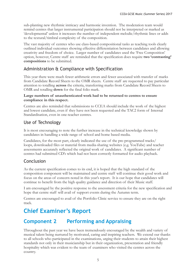sub-planting new rhythmic intricacy and harmonic invention. The moderation team would remind centres that larger instrumental participation should not be interpreted or marked as 'developmental' unless it increases the number of independent melodic/rhythmic lines or adds to the textural/timbral complexity of the composition.

The vast majority of centres who use class-based compositional tasks as teaching tools clearly outlined individual outcomes showing effective differentiation between candidates and allowing creativity and freedom of choice. Larger number of candidates used the 'Free Composition' option, however, Centre staff are reminded that the specification does require **two 'contrasting' compositions** to be submitted.

# Administration & Compliance with Specification

This year there were much fewer arithmetic errors and fewer associated with transfer of marks from Candidate Record Sheets to the OMR sheets. Centre staff are requested to pay particular attention to totalling **across** the criteria, transferring marks from Candidate Record Sheets to OMR and totalling **down** for the final folio mark.

#### **Large numbers of unauthenticated work had to be returned to centres to ensure compliance in this respect.**

Centres are also reminded that submissions to CCEA should include the work of the highest and lowest candidate, even if they have not been requested and the TAC2 form of Internal Standardisation, even in one-teacher centres.

# Use of Technology

It is most encouraging to note the further increase in the technical knowledge shown by candidates in handling a wide range of school and home based media.

Candidates, for the most part, clearly indicated the use of the pre-programmed tracks/ loops, downloaded files or material from media-sharing websites (e.g. YouTube) and teacher assessments accurately reflected the original work of candidates. A significant number of centres had submitted CD's which had not been correctly formatted for audio playback.

# Conclusion

As the current specification comes to its end, it is hoped that the high standard of the composition component will be maintained and centre staff will continue their good work and focus on the areas of concern noted in this year's report. It is our hope that candidates will continue to benefit from the high quality guidance and direction of their Music staff.

I am encouraged by the positive response to the assessment criteria for the new specification and hope that centre staff will avail of support events during the Autumn term.

Centres are encouraged to avail of the Portfolio Clinic service to ensure they are on the right track.

# **Chief Examiner's Report**

# **Component 2 Performing and Appraising**

Throughout the past year we have been tremendously encouraged by the wealth and variety of musical talent being nurtured by motivated, caring and inspiring teachers. We extend our thanks to all schools who participated in the examinations, urging their students to attain their highest standards not only in their musicianship but in their organization, presentation and friendly hospitality which was evident to the team of examiners who visited the centres across the country.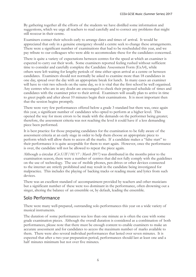By gathering together all the efforts of the students we have distilled some information and suggestions, which we urge all teachers to read carefully and to correct any problems that might still reoccur in their centre.

Examiners contact their schools early to arrange dates and times of arrival. It would be appreciated that only in a genuine emergency should a centre seek to change these arrangements. There were a significant number of examinations that had to be rescheduled this year, and we pay tribute to our colleagues who were able to accommodate these for the candidates concerned.

There is quite a variety of expectations between centres for the speed at which an examiner is expected to carry out their work. Some examiners reported feeling rushed without sufficient time to consider and carefully complete the Candidate Assessment Form (ExA4), while others were left waiting for lengthy periods of time either upon arrival at a centre or between candidates. Examiners should not normally be asked to examine more than 18 candidates in one day, spread over the day with an appropriate break for lunch. In many cases an examiner will have to visit two schools on the same day, so it is vital that the first school be well organised. Any centres who are in any doubt are encouraged to check their proposed schedule of times and candidates with the examiner prior to their arrival. Examiners will usually plan to arrive in time to greet pupils and after about 10 minutes begin their examinations. It is most important then that the session begins promptly.

There were very few performances offered below a grade 3 standard but there was, once again this year, a significant number of candidates who opted to perform at a higher level. This opened the way for more errors to be made with the demands on the performer being greater; therefore, the assessment criteria was not reaching the level it could have if a less demanding piece been performed.

It is best practice for those preparing candidates for the examination to be fully aware of the assessment criteria at an early stage in order to help them choose an appropriate piece to perform which will allow them to access all the marks. If a candidate makes a "false start" to their performance it is quite acceptable for them to start again. However, once the performance is over, the candidate will not be allowed to repeat the piece again.

Although a circular *(Cir.S/IF/18/17 : March 2017)* was distributed in the months prior to the examination season, there were a number of centres that did not fully comply with the guidelines on the use of technology. The use of mobile phones, pen drives or other devices connected to the internet are strictly prohibited and may result in the candidate being investigated for malpractice. This includes the playing of backing tracks or reading music and lyrics from such devices.

There was an excellent standard of accompaniment provided by teachers and other musicians but a significant number of these were too dominant in the performance, often drowning out a singer, altering the balance of an ensemble or, by default, leading the ensemble.

# Solo Performance

There were many well-prepared, outstanding solo performances this year on a wide variety of musical instruments.

The duration of some performances was less than one minute as is often the case with some grade examination pieces. Although the overall duration is considered as a combination of both performances, please note that there must be enough content to enable examiners to make an accurate assessment and for candidates to access the maximum number of marks available to them. There were also several individual performances that lasted over seven minutes. It is expected that after a two-year preparation period, performances should last at least one and a half minutes minimum but not over five minutes.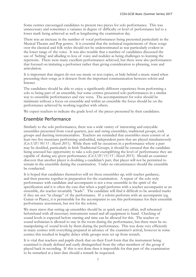Some centres encouraged candidates to present two pieces for solo performance. This was unnecessary and sometimes a variance in degree of difficulty or level of performance led to a lower mark being achieved as well as lengthening the examination day.

There was an increase in the number of vocal performances being presented particularly in the Musical Theatre and Pop genres. It is essential that the technical requirements of these songs over the classical and folk styles should not be underestimated as was particularly evident in the lower range of the voice. It was also notable that a number of candidates discussed the use of 'belting' and alluding to loss of voice and nodules as being challenges to learning the repertoire. There were many excellent performances achieved, but there were also performances that focused on imitating a performer rather than giving consideration to phrasing, tone and articulation.

It is important that singers do not use music or text copies, or hide behind a music stand when presenting their songs as it detracts from the important communication between soloist and listener.

The candidates should be able to enjoy a significantly different experience from performing a solo to being part of an ensemble, but some centres presented solo performances in a similar way to ensemble performances and vice versa. The accompaniment for solos should be minimum without a focus on ensemble and within an ensemble the focus should be on the performance achieved by working together with others.

We expect teachers to indicate the grade level of the pieces presented by their candidates.

### Ensemble Performance

Similarly to the solo performances, there was a wide variety of interesting and enjoyable ensembles presented from vocal quartets, jazz and swing ensembles, traditional groups, rock groups and duetting instrumentalists. Teachers are reminded that ensembles must consist of at least two live musicians performing undoubled, independent parts that are played simultaneously *(Cir.S/IF/50/11 : March 2011)*. While there will be occasions in a performance where a part may be doubled, particularly in Irish Traditional Groups, it should be ensured that the candidate being assessed has opportunity to take a solo part exemplifying the level of performance they are capable of during any given performance *(Cir.S/IF/15/15 : March 2015)*. Should an examiner discover that another player is doubling a candidate's part, that player will not be permitted to remain in the ensemble during the examination. Under no circumstances should the ensemble be conducted.

It is hoped that candidates themselves will set these ensembles up, with teacher guidance, and then practise together in preparation for the examination. A repeat of the solo style performance with candidate and accompanist is not a true ensemble in the spirit of the specification and it is often the case that when a pupil performs with a teacher accompanist as an ensemble, the teacher invariably "leads". The candidate will find it difficult to be awarded marks if they are not "in charge" of the performance. If a soloist performs with an accompanist (eg. Guitar or Piano), it is permissible for the accompanist to use this performance for their ensemble performance assessment, but not for the soloist.

We must stress that setting up ensembles should be as quick and easy affair, well rehearsed beforehand with all necessary instruments tuned and all equipment to hand. Checking of sound levels is expected before starting and time can be allowed for this. The teacher or sound technician is allowed to stay in the room during the performance, but there must be no manipulating of sound levels by them during the performance. This was done very efficiently in many centres with everything prepared in advance of the examiner's arrival, however in some centres this resulted in lengthy delays while groups were set up from scratch.

It is vital that teachers and pupils check that on their Exa4 form that the instrument being examined is clearly defined and easily distinguished from the other members of the group if played back in recording. If this is not done then it impossible for that part of the examination to be remarked at a later date should a remark be requested.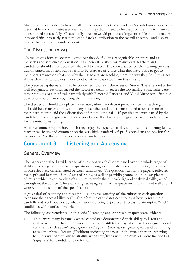Most ensembles tended to have small numbers meaning that a candidate's contribution was easily identifiable and candidates also realised that they didn't need to be the prominent instrument to be examined successfully. Occasionally a centre would produce a large ensemble and this makes it more difficult to fairly assess the candidate's contribution to the overall ensemble and also to ensure that their part is independent.

# The Discussion (Viva)

No two discussions are ever the same, but they do follow a recognizable structure and as the series and sequence of questions has been established for many years, teachers and candidates should all be aware of what will be asked. The conversation on the learning process demonstrated that often pupils seem to be unaware of either what they have done to get to their performance or what and why their teachers are teaching them the way they do. It was not always clear that candidates understood what was expected from this question.

The piece being discussed must be connected to one of the Areas of Study. These tended to be well recognized, but often lacked the necessary detail to access the top marks. Some links were rather tenuous or superficial, particularly with Repeated Patterns, and Vocal Music was often not developed more than recognizing that "it is a song".

The discussion should take place immediately after the relevant performance and, although it should be a conversation without any notes, the candidate is encouraged to use a score or their instrument to aid their discussion and point out details. If possible the music used by the candidate should be given to the examiner before the discussion begins so that it can be a focus for the initial questioning.

All the examiners report how much they enjoy the experience of visiting schools, meeting fellow teacher-musicians and comment on the very high standards of professionalism and passion for the subject. We thank the schools once again for this.

# **Component 3 Listening and Appraising**

# General Overview

The papers contained a wide range of questions which discriminated over the whole range of ability, providing easily accessible questions throughout and also somemore testing questions which effectively differentiated between candidates. The questions within the papers, reflected the depth and breadth of the Areas of Study, as well as providing some on unknown pieces of music which tested candidate's abilities to apply their knowledge and analytical skills gained throughout the course. The examining teams agreed that the questions discriminated well and all were within the scope of the specification.

A great deal of planning and thought goes into the wording of the rubrics in each question to ensure their accessibility to all. Therefore the candidates need to learn how to read these carefully and work out exactly what answers are being expected. There is no attempt to "trick" candidates with confusing rubric.

The following characteristics of this series' Listening and Appraising papers were evident:

1 There were many instances where candidates demonstrated their ability to listen and analyse what they heard. However, there were still too many who relied on vague general comments such as *imitation, sequence, walking bass, harmony, word painting* etc., and continuing to use the phrase *"the use of"* without indicating the part of the music they are referring to. This was particularly frustrating when text/lyrics with line numbers were included as 'signposts' for candidates to refer to.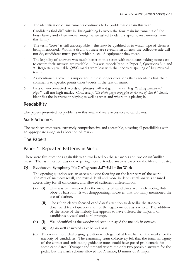2 The identification of instruments continues to be problematic again this year.

Candidates find difficulty in distinguishing between the four main instruments of the brass family and often wrote *"strings"* when asked to identify specific instruments from this family.

- 3 The term *"drum"* is still unacceptable this *must* be qualified as to which type of drum is being mentioned. Within a drum kit there are several instruments, the collective title will not do, candidates must specify which piece of equipment they mean.
- 4 The legibility of answers was much better in this series with candidates taking more care to ensure their answers are readable. This was especially so in Paper 2, Questions 3, 6 and 9. Regrettably valuable QWC marks were lost with the incorrect spelling of key musical terms.
- 5 As mentioned above, it is important in these longer questions that candidates link their comments to specific points/lines/words in the text or music.
- 6 Lists of unconnected words or phrases will not gain marks. E.g. *"a string instrument plays"* will not high marks. Conversely, *"the violin plays arpeggios at the end of line 6"* clearly identifies the instrument playing as well as what and where it is playing it.

### Readability

The papers presented no problems in this area and were accessible to candidates.

### Mark Schemes

The mark schemes were extremely comprehensive and accessible, covering all possibilities with an appropriate range and allocation of marks.

### The Papers

# Paper 1: Repeated Patterns in Music

There were five questions again this year, two based on the set works and two on unfamiliar music. The last question was one requiring more extended answers based on the Music Industry.

#### **Q1 Beethoven: Symphony No 7 Allegretto 3.57–5.11 – Set Work**

The opening question was an accessible one focusing on the later part of the work. The mix of memory recall, contextual detail and more in depth aural analysis ensured accessibility for all candidates, and allowed sufficient differentiation .

- **(a) (i)** This was well answered as the majority of candidates accurately noting flute, oboe or bassoon. It was disappointing, however, that too many mentioned the use of clarinet.
	- **(ii)** The rubric clearly focused candidates' attention to describe the staccato downward triplet quavers and not the legato melody as a whole. The addition of the score of the melody line appears to have offered the majority of candidates a visual and aural prompt.
- **(b) (i)** Well identified as the woodwind section played the melody in octaves.
	- **(ii)** Again well answered as cello and bass.
- **(c)** This was a more challenging question which gained at least half of the marks for the majority of candidates. The examining team collectively felt that the tonal ambiguity of the extract and misleading guidance notes could have posed problematic for some candidates. Trumpet and timpani where the only two possible answers for the pedal, but the mark scheme allowed for A minor, D minor or A major.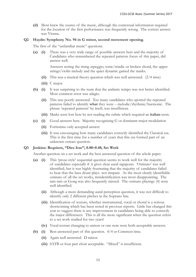**(d)** Most knew the source of the music, although the contextual information required for the location of the first performance was frequently wrong. The correct answer was Vienna.

#### **Q2 Haydn: Symphony No. 94 in G minor, second movement opening.**

The first of the "unfamiliar music" questions.

**(a) (i)** There was a very wide range of possible answers here and the majority of Candidates who remembered the repeated patterns focus of this paper, did answer well.

> Answers noting the rising arpeggio, tonic/triadic or broken chord, the upper strings/violin melody and the quiet dynamic gained the marks.

- **(ii)** This was a musical theory question which was well answered. (2/4 time)
- **(iii)** C major.
- **(b) (i)** It was surprising to the team that the andante tempo was not better identified. Most common error was adagio.
	- **(ii)** This was poorly answered. Too many candidates who spotted the repeated patterns failed to identify **what** they were – melodic/rhythmic/harmonic. The phrase 'repeated patterns' by itself, was insufficient.
	- **(iii)** Marks were lost here by not reading the rubric which required an **italian** term.
- **(c) (i)** Good answers here. Majority recognising G or dominant major modulation
	- **(ii)** Fortissimo only accepted answer
	- **(iii)** It was encouraging how many candidates correctly identified the Classical era. This is the first time for a number of years that this era formed part of an unknown extract question.

#### **Q3 Jenkins: Requiem, "Dies Irae"; 0.00–0.48; Set Work**

Another question on a set work and the best answered question of the whole paper.

- **(a) (i)** This 'prose-style' sequential question seems to work well for the majority of candidates especially if it gives clear aural signposts. 'Ostinato' was well identified, but it was highly frustrating that the majority of candidates failed to hear that the bass drum plays- not timpani. As the most clearly identifiable ostinato of all the set works, misidentification was most disappointing. The tam tam or Gong was also frequently missed. The ostinato playings (4) were well identified.
	- **(ii)** Although a more demanding aural perception question, it was not difficult to identify only 2 different pitches in the Soprano line.
	- **(iii)** Identification of texture, whether instrumental, vocal or choral is a serious shortcoming which has been noted in previous reports. Little has changed this year to suggest there is any improvement in candidates being able to correctly the major differences. This is all the more significant when the question refers to a set work studied for two years!
	- **(iv)** Vocal texture changing to unison or one note were both acceptable answers.
- **(b) (i)** Best answered part of this question. 4/4 or Common time.
	- **(ii)** Again well answered. D minor.
	- **(iii)** SATB or four part choir acceptable. "Mixed" is insufficient.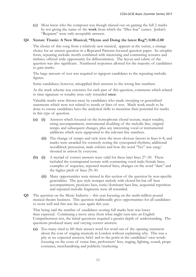**(c)** Most knew who the composer was though missed out on gaining the full 2 marks by not giving the name of the **work** from which the "Dies Irae" comes. Jenkin's "Requiem" were only acceptable answers.

#### **Q4 Yestan: Titanic: A New Musical; "Hymn and Doing the latest Rag"; 0.00–2.00**

The choice of this song from a relatively new musical, appears at the outset, a strange choice for an unseen question in a Repeated Patterns-focused question paper. Its strophic form, repeating melodic motifs combined with interesting and contrasting textures and timbres, offered wide opportunity for differentiation. The layout and rubric of the question was also significant. Numbered responses allowed for the majority of candidates to gain marks.

The large amount of text was required to signpost candidates to the repeating melodic figures.

Some candidates, however, misapplied their answers to the wrong line numbers.

As the mark scheme was extensive for each part of this question, comments which related to time signature or tonality were only rewarded **once**.

Valuable marks were thrown away by candidates who made sweeping or generalised statements which were not related to words or lines of text. Much work needs to be done to ensure candidates have the analytical skills to maximise their potential for marks in this type of question.

- **(a) (i)** Answers which focused on the homophonic choral texture, major tonality, string accompaniment, instrumental doubling of the melodic line, original tempo and subsequent changes, plus any interesting vocal or instrumental additions which were signposted to the relevant line numbers.
	- **(ii)** The change of tempo and style were the most obvious factors in lines 6–8, and marks were awarded for correctly noting the syncopated rhythms, additional woodblock percussion, male soloists and how the word "Yes" was sung/ shouted in unison by everyone.
- **(b) (i)** A myriad of correct answers were valid for these later lines 27–30. These included the contrapuntal texture with contrasting vocal male/female lines, examples of sequence, repeated musical lines, changes on the word "dare" and the higher pitch of lines 29–30.
	- **(ii)** Many opportunities were missed in this section of the question by non-specific generalities. The jazz style trumpet melody with closed-hit-hat off beat accompaniment, pizzicato bass, tonic/dominant bass line, sequential repetition and repeated melodic fragments were all rewarded.
- **Q5** The question on the Music Industry this year focusing on the multi-million pound musical theatre business. This question traditionally gives opportunities for all candidates to score well and this was the case again this year.

That being said the number of candidates scoring full marks here was lower than expected. Continuing a move away from what might turn into an English Comprehension test, the initial questions required a greater depth of understanding. The questions produced many and varying correct answers.

**(a)** Too many tried to lift their answer word for word out of the opening statement about the cost of staging musicals in London without explaining why. This was a pity as we expected answers, brief and to the point in the candidates' own words focusing on the costs of venue hire, performers' fees, staging, lighting, sound, props costumes, merchandising and publicity/marketing.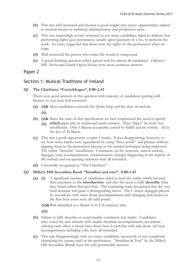- **(b)** This was well answered and showed a good insight into career opportunities related to musical theatre in technical, administration and production areas.
- **(c)** This was surprisingly poorly answered as too many candidates failed to indicate that performing rights gave permission, usually upon payment of a fee, to perform the work. So many suggested that these were the rights of the performers when on stage.
- **(d)** Well answered; the person who writes the words to songs used.
- **(e)** A good finishing question which gained well for almost all candidates. Odyseey/ SSE Arena and Grand Opera House were most common answers.

### Paper 2

### Section 1: Musical Traditions of Ireland

#### **Q1 The Chieftains: "Carrickfergus", 0.00–2.43**

There were good answers in this question with majority of candidates gaining well. Section (c) was least well answered.

**(a) (i)&** Most candidates correctly the (Irish) harp and the slow air melody.

 **(ii)**

- **(b) (i)&** Since the start of this specification we have emphasised the need to specify
	- **which** pipes play in traditional music extracts. Thus "pipes" by itself was **(ii)**insufficient. Only Uilleann acceptable, joined by fiddle and tin whistle. All in the key of D Major.
- **(c)** This was a good opportunity to gain 5 marks. It was disappointing, however, to see how many marks were squandered by using "buzz words" and phrases without aligning them to the instrument playing or the musical technique being employed. The rubric "describe" insufficient. Comments on the structure, unison melody, arpeggio harp accompaniment, ornamentation, changes happening in the repeats of the melody and recognising cadences were all rewarded.
- **(d)** Universally recognised as "The Chieftains".

#### **Q2 Miller's Hill Accordion Band: "Steadfast and true": 0.00–1.43**

**(a) (i)** A significant number of candidates failed to read the rubric which focused their attention to the **introduction** and also the need to fully **describe** what they heard rather than give lists. The examining team recognised that the very loud dynamic was quite a distinguishing factor. The C major arpeggio played by accordions with snare drum accompaniment with changing articulation in the first four notes were all valid points.

**(ii)&**Well identified as a March in 4/4 (Common) time.

 **(iii)**

- **(b)** Failure to fully describe or contextualise comments lost marks. Candidates who noted the new melody with similar rhythmic accompaniment, accordians echoing each other, a steady bass drum beat in each bar with side drum off beat accompaniment including rolls, were all rewarded.
- **(c)** This was disappointingly with too many candidates incorrectly or not completely identifying the extract and/or the performers. "Steadfast  $\&$  True" by the Miller's Hill Accordian (Band) were the only permissible answers.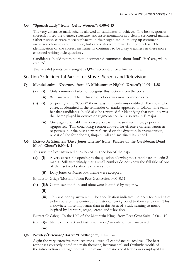#### **Q3 "Spanish Lady" from "Celtic Women": 0.00–1.13**

The very extensive mark scheme allowed all candidates to achieve. The best responses correctly noted the themes, structure, and instrumentation in a clearly structured manner. Other responses were more haphazard in their organisation, mixing up comments on verses, choruses and interlude, but candidates were rewarded nonetheless. The identification of the correct instruments continues to be a key weakness in these more extended writing-style questions.

Candidates should not think that unconnected comments about 'loud', 'fast' etc., will be credited.

Twelve valid points were sought as QWC accounted for a further three.

#### Section 2: Incidental Music for Stage, Screen and Television

#### **Q4 Mendelssohn: 'Overture' from "A Midsummer Night's Dream"; 10.09–11.58**

- **(a) (i)** Only a minority failed to recognise this section from the coda.
	- **(ii)** Well answered. The inclusion of oboes was most common error.
- **(b) (i)** Surprisingly, the "Court" theme was frequently misidentified. For those who correctly identified it, the remainder of marks appeared to follow. The team felt that candidates should also be rewarded for identifying that not only was the theme played in octaves or augmentation but also was in E major.
	- **(ii)** Once again, valuable marks were lost with musical terminology poorly signposted. This concluding section allowed for effective differentiation in responses, but the best answers focused on the dynamic, instrumentation, repeat of the four chords, timpani roll and sustained last chord.

#### **Q5 Extract A: Zimmer: 'Davy Jones Theme' from "Pirates of the Caribbean: Dead Man's Chest"; 0.00–1.11**

This was the best answered question of this section of the paper.

- **(a) (i)** A very accessible opening to the question allowing most candidates to gain 2 marks. Still surprisingly that a small number do not know the full title of one of their set works after two years study.
	- **(ii)** Davy Jones or Music box theme were accepted.

Extract B: Grieg: 'Morning' from Peer Gynt Suite, 0.00–0.51

- **(b) (i)&** Composer and flute and oboe were identified by majority.
	- **(ii)**
	- **(iii)** This was poorly answered. The specification indicates the need for candidates to be aware of the context and historical background to their set works. This is nowhere more important than in this Area of Study relating to music inspired by literature, stage, screen and television.

Extract C: Grieg: 'In the Hall of the Mountain King" from Peer Gynt Suite; 0.00–1.10

- **(c) (i)–** Name of extract and instrumentation/articulation well answered.
	- **(iii)**

#### **Q6 Newley/Bricusse/Barry: "Goldfinger", 0.00–1.32**

Again the very extensive mark scheme allowed all candidates to achieve. The best responses correctly noted the main thematic, instrumental and rhythmic motifs of the introduction and together with the many idiomatic vocal techniques employed by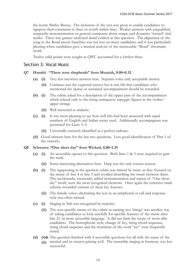the iconic Shirley Bassey. The inclusion of the text was given to enable candidates to signpost their comments to lines or words within lines. Weaker answers with unqualified, unspecific instrumentation or general comments about tempo and dynamics 'wasted' vital marks. There was greater analytical detail evident in this question. The alignment of the song to the Bond movie franchise was not lost on many candidates and it was particularly pleasing when candidates gave a musical analysis of the memorable "Bond" chromatic motif.

Twelve valid points were sought as QWC accounted for a further three.

#### Section 3: Vocal Music

#### **Q7 Handel: "There were shepherds'' from Messiah, 0.00–0.32**

- **(a) (i)** Very few incorrect answers here. Soprano voice only acceptable answer.
	- **(ii)** Continuo was the expected answer but it was felt that candidates who mentioned the sparse or sustained accompaniment should be rewarded.
- **(b) (i)** The rubric asked for a description of the upper part of the accompaniment which related only to the rising semiquaver arpeggio figures in the violins/ upper strings.
	- **(ii)** Well answered as andante.
- **(c) (i)** It was most pleasing to see how well this had been answered with equal numbers of English and Italian terms used. Additionally accompagnato was permitted for Lines 3–5.
	- **(ii)** Universally correctly identified as a perfect cadence.
- **(d)** Good answers here for the last two questions. Less good identification of Part 1 of the oratorio.

#### **Q8 Schwartz: ''One short day'' from Wicked, 0.00–1.35**

- **(a) (i)** An accessible opener to this question. Both lines 1 & 3 were required to gain the mark.
	- **(ii)** Some interesting alternatives here. Harp was the only correct answer.
- **(b) (i)** The signposting in the question rubric was missed by many as they focused on the music of line 4 or line 5 and avoided describing the music between them. The accelerando, crescendo, added instrumentation and repeat of "One short day" motif, were the most recognised elements. Once again the extensive mark scheme rewarded variants of these key features.
	- **(ii)** The female voices alternating the text in an antiphonal or call and response style was often missed.
- **(c) (i)** Singing in 3rds was recognised by majority.
	- **(ii)** The non-specific nature of the rubric in naming two 'things' was another way of asking candidates to look carefully for specific features of the music after line 21–in more accessible language. It did not limit the scope of more able candidates. The homophonic style, change of key, rising chord sequence, rising chord sequence and the treatment of the word "joy" were frequently noted.
- **(d) (i)&** The question finished with 4 accessible questions for all with the name of the musical and its creator gaining well. The ensemble singing in harmony was less **(ii)**successful.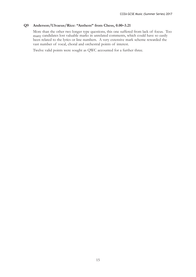#### **Q9 Anderson/Ulvaeus/Rice: "Anthem" from Chess, 0.00–3.21**

More than the other two longer type questions, this one suffered from lack of focus. Too many candidates lost valuable marks in unrelated comments, which could have so easily been related to the lyrics or line numbers. A very extensive mark scheme rewarded the vast number of vocal, choral and orchestral points of interest.

Twelve valid points were sought as QWC accounted for a further three.